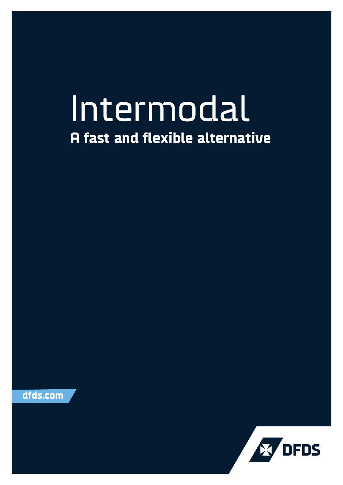## Intermodal **A fast and flexible alternative**

**dfds.com**

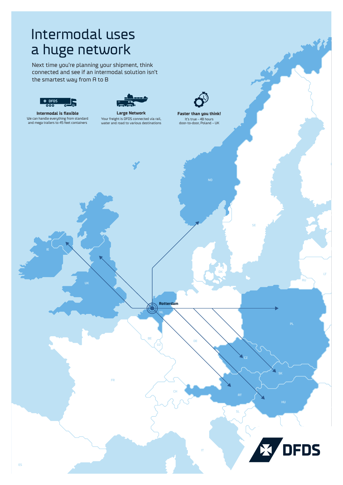## Intermodal uses a huge network

Next time you're planning your shipment, think connected and see if an intermodal solution isn't the smartest way from A to B